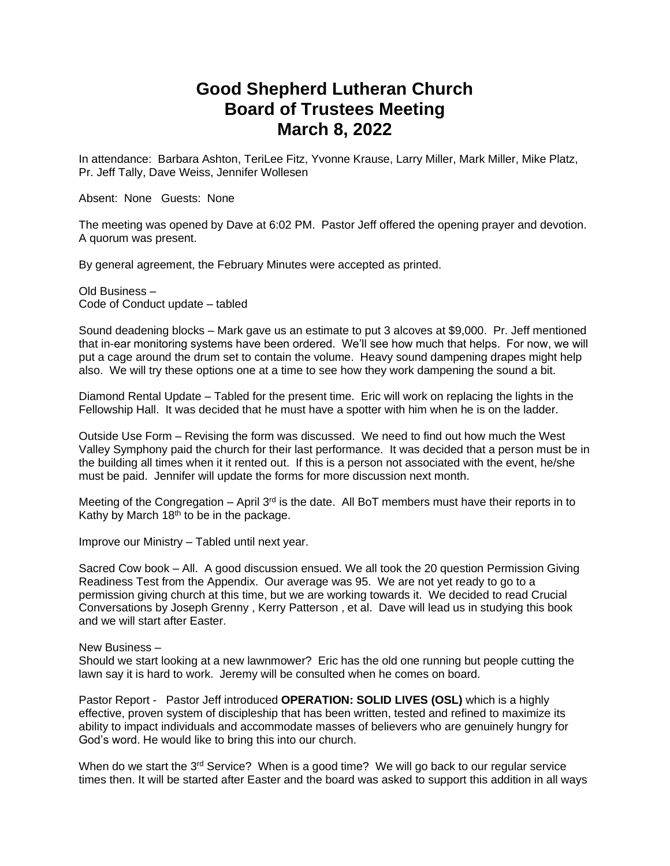## **Good Shepherd Lutheran Church Board of Trustees Meeting March 8, 2022**

In attendance: Barbara Ashton, TeriLee Fitz, Yvonne Krause, Larry Miller, Mark Miller, Mike Platz, Pr. Jeff Tally, Dave Weiss, Jennifer Wollesen

Absent: None Guests: None

The meeting was opened by Dave at 6:02 PM. Pastor Jeff offered the opening prayer and devotion. A quorum was present.

By general agreement, the February Minutes were accepted as printed.

Old Business – Code of Conduct update – tabled

Sound deadening blocks – Mark gave us an estimate to put 3 alcoves at \$9,000. Pr. Jeff mentioned that in-ear monitoring systems have been ordered. We'll see how much that helps. For now, we will put a cage around the drum set to contain the volume. Heavy sound dampening drapes might help also. We will try these options one at a time to see how they work dampening the sound a bit.

Diamond Rental Update – Tabled for the present time. Eric will work on replacing the lights in the Fellowship Hall. It was decided that he must have a spotter with him when he is on the ladder.

Outside Use Form – Revising the form was discussed. We need to find out how much the West Valley Symphony paid the church for their last performance. It was decided that a person must be in the building all times when it it rented out. If this is a person not associated with the event, he/she must be paid. Jennifer will update the forms for more discussion next month.

Meeting of the Congregation – April  $3<sup>rd</sup>$  is the date. All BoT members must have their reports in to Kathy by March  $18<sup>th</sup>$  to be in the package.

Improve our Ministry – Tabled until next year.

Sacred Cow book – All. A good discussion ensued. We all took the 20 question Permission Giving Readiness Test from the Appendix. Our average was 95. We are not yet ready to go to a permission giving church at this time, but we are working towards it. We decided to read Crucial Conversations by Joseph Grenny , Kerry Patterson , et al. Dave will lead us in studying this book and we will start after Easter.

## New Business –

Should we start looking at a new lawnmower? Eric has the old one running but people cutting the lawn say it is hard to work. Jeremy will be consulted when he comes on board.

Pastor Report - Pastor Jeff introduced **OPERATION: SOLID LIVES (OSL)** which is a highly effective, proven system of discipleship that has been written, tested and refined to maximize its ability to impact individuals and accommodate masses of believers who are genuinely hungry for God's word. He would like to bring this into our church.

When do we start the  $3<sup>rd</sup>$  Service? When is a good time? We will go back to our regular service times then. It will be started after Easter and the board was asked to support this addition in all ways